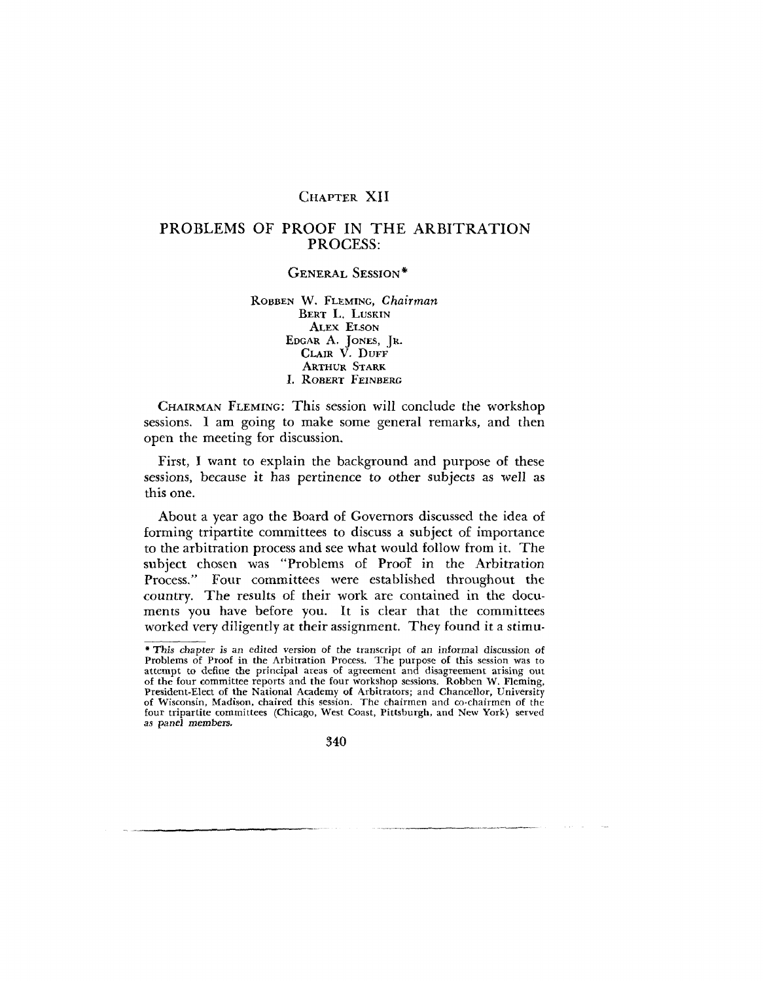## CHAPTER XII

# PROBLEMS OF PROOF IN THE ARBITRATION PROCESS:

## GENERAL SESSION\*

ROBBEN W. FLEMING, *Chairman* BERT L. LUSKIN ALEX ELSON EDGAR A. JONES, JR. CLAIR V. DUFF ARTHUR STARK I. ROBERT FEINBERG

CHAIRMAN FLEMING: This session will conclude the workshop sessions. I am going to make some general remarks, and then open the meeting for discussion.

First, I want to explain the background and purpose of these sessions, because it has pertinence to other subjects as well as this one.

About a year ago the Board of Governors discussed the idea of forming tripartite committees to discuss a subject of importance to the arbitration process and see what would follow from it. The subject chosen was "Problems of ProoT in the Arbitration Process." Four committees were established throughout the country. The results of their work are contained in the documents you have before you. It is clear that the committees worked very diligently at their assignment. They found it a stimu-

<sup>\*</sup> This chapter is an edited version of the transcript of an informal discussion of Problems of Proof in the Arbitration Process. The purpose of this session was to attempt to define the principal areas of agreement and disagreement arising out of the four committee reports and the four workshop sessions. Robben W. Fleming, President-Elect of the National Academy of Arbitrators; and Chancellor, University of Wisconsin, Madison, chaired this session. The chairmen and co-chairmen of the four tripartite committees (Chicago, West Coast, Pittsburgh, and New York) served as panel members.

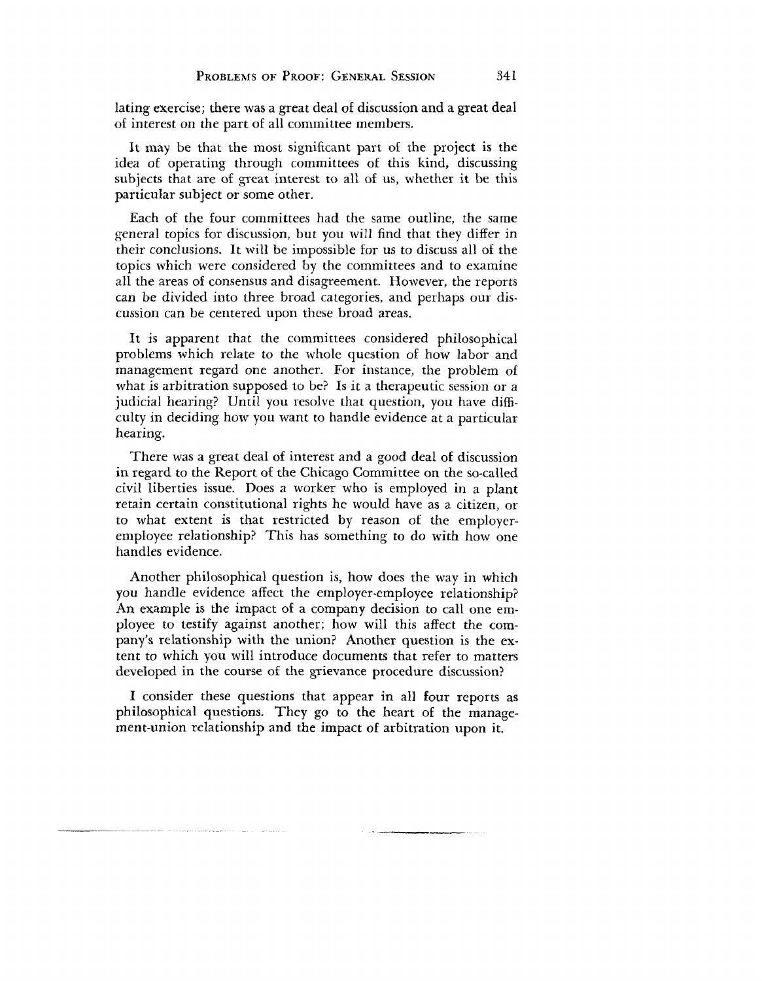lating exercise; there was a great deal of discussion and a great deal of interest on the part of all committee members.

It may be that the most significant part of the project is the idea of operating through committees of this kind, discussing subjects that are of great interest to all of us, whether it be this particular subject or some other.

Each of the four committees had the same outline, the same general topics for discussion, but you will find that they differ in their conclusions. It will be impossible for us to discuss all of the topics which were considered by the committees and to examine all the areas of consensus and disagreement. However, the reports can be divided into three broad categories, and perhaps our discussion can be centered upon these broad areas.

It is apparent that the committees considered philosophical problems which relate to the whole question of how labor and management regard one another. For instance, the problem of what is arbitration supposed to be? Is it a therapeutic session or a judicial hearing? Until you resolve that question, you have difficulty in deciding how you want to handle evidence at a particular hearing.

There was a great deal of interest and a good deal of discussion in regard to the Report of the Chicago Committee on the so-called civil liberties issue. Does a worker who is employed in a plant retain certain constitutional rights he would have as a citizen, or to what extent is that restricted by reason of the employeremployee relationship? This has something to do with how one handles evidence.

Another philosophical question is, how does the way in which you handle evidence affect the employer-employee relationship? An example is the impact of a company decision to call one employee to testify against another; how will this affect the company's relationship with the union? Another question is the extent to which you will introduce documents that refer to matters developed in the course of the grievance procedure discussion?

I consider these questions that appear in all four reports as philosophical questions. They go to the heart of the management-union relationship and the impact of arbitration upon it.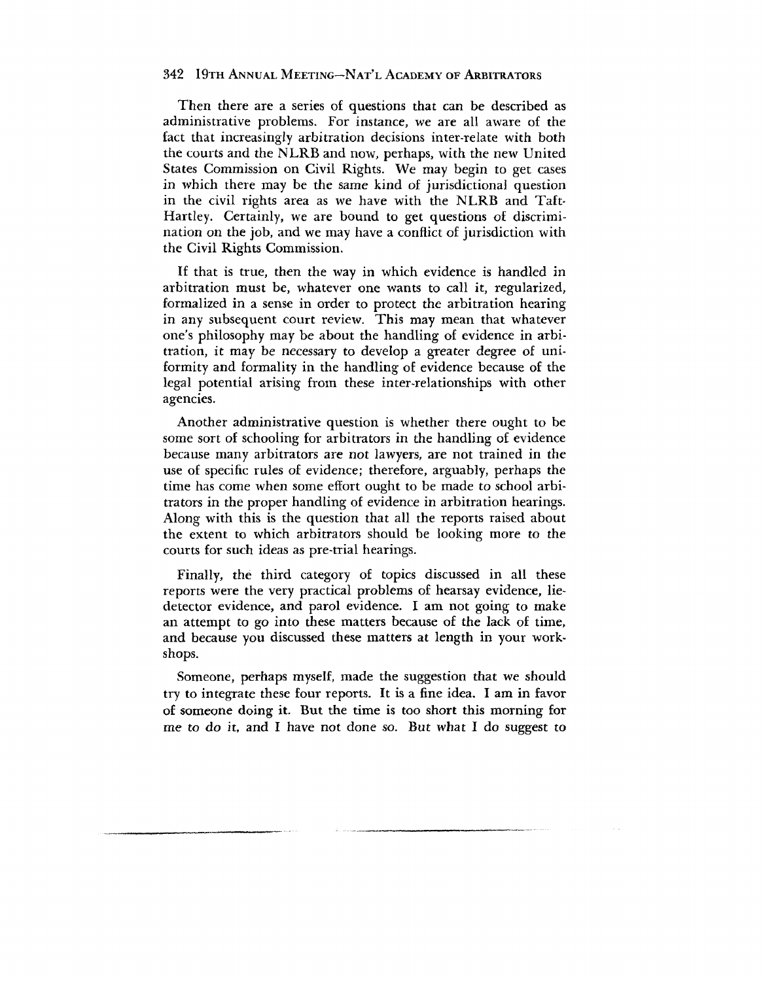Then there are a series of questions that can be described as administrative problems. For instance, we are all aware of the fact that increasingly arbitration decisions inter-relate with both the courts and the NLRB and now, perhaps, with the new United States Commission on Civil Rights. We may begin to get cases in which there may be the same kind of jurisdictional question in the civil rights area as we have with the NLRB and Taft-Hartley. Certainly, we are bound to get questions of discrimination on the job, and we may have a conflict of jurisdiction with the Civil Rights Commission.

If that is true, then the way in which evidence is handled in arbitration must be, whatever one wants to call it, regularized, formalized in a sense in order to protect the arbitration hearing in any subsequent court review. This may mean that whatever one's philosophy may be about the handling of evidence in arbitration, it may be necessary to develop a greater degree of uniformity and formality in the handling of evidence because of the legal potential arising from these inter-relationships with other agencies.

Another administrative question is whether there ought to be some sort of schooling for arbitrators in the handling of evidence because many arbitrators are not lawyers, are not trained in the use of specific rules of evidence; therefore, arguably, perhaps the time has come when some effort ought to be made *to* school arbitrators in the proper handling of evidence in arbitration hearings. Along with this is the question that all the reports raised about the extent to which arbitrators should be looking more to the courts for such ideas as pre-trial hearings.

Finally, the third category of topics discussed in all these reports were the very practical problems of hearsay evidence, liedetector evidence, and parol evidence. I am not going to make an attempt to go into these matters because of the lack of time, and because you discussed these matters at length in your workshops.

Someone, perhaps myself, made the suggestion that we should try to integrate these four reports. It is a fine idea. I am in favor of someone doing it. But the time is too short this morning for me to do it, and I have not done so. But what I do suggest to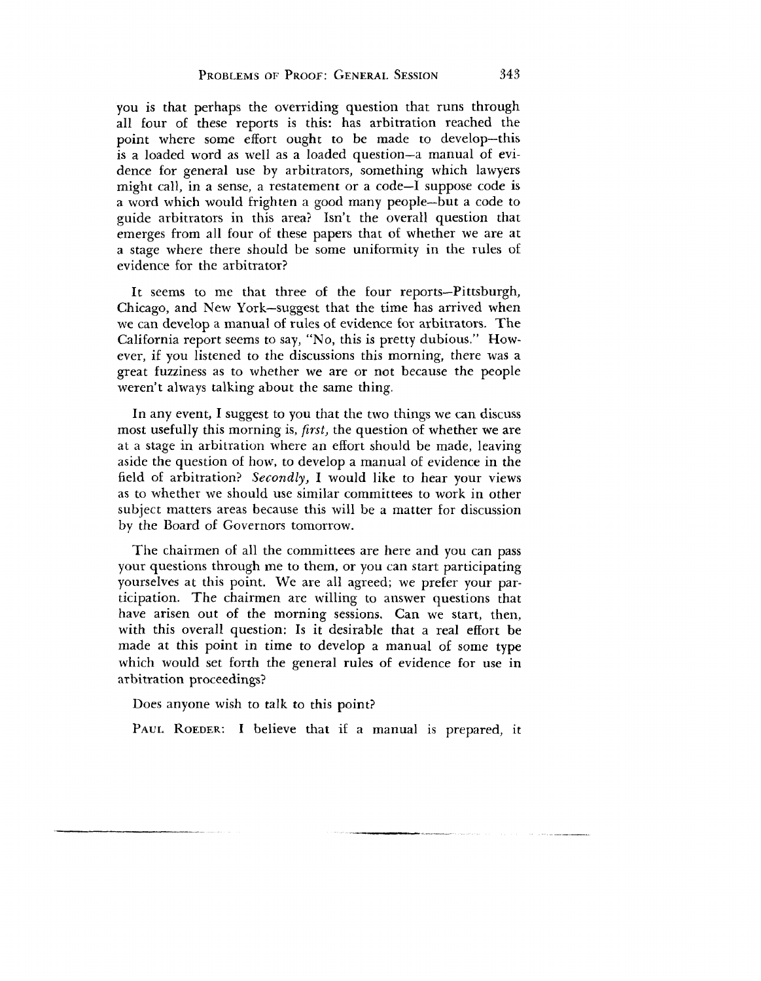you is that perhaps the overriding question that runs through all four of these reports is this: has arbitration reached the point where some effort ought to be made to develop—this is a loaded word as well as a loaded question—a manual of evidence for general use by arbitrators, something which lawyers might call, in a sense, a restatement or a code—I suppose code is a word which would frighten a good many people—but a code to guide arbitrators in this area? Isn't the overall question that emerges from all four of these papers that of whether we are at a stage where there should be some uniformity in the rules of evidence for the arbitrator?

It seems to me that three of the four reports—Pittsburgh, Chicago, and New York—suggest that the time has arrived when we can develop a manual of rules of evidence for arbitrators. The California report seems to say, "No, this is pretty dubious." However, if you listened to the discussions this morning, there was a great fuzziness as to whether we are or not because the people weren't always talking about the same thing.

In any event, I suggest to you that the two things we can discuss most usefully this morning is, *first,* the question of whether we are at a stage in arbitration where an effort should be made, leaving aside the question of how, to develop a manual of evidence in the field of arbitration? *Secondly,* I would like to hear your views as to whether we should use similar committees to work in other subject matters areas because this will be a matter for discussion by the Board of Governors tomorrow.

The chairmen of all the committees are here and you can pass your questions through me to them, or you can start participating yourselves at this point. We are all agreed; we prefer your participation. The chairmen are willing to answer questions that have arisen out of the morning sessions. Can we start, then, with this overall question: Is it desirable that a real effort be made at this point in time to develop a manual of some type which would set forth the general rules of evidence for use in arbitration proceedings?

Does anyone wish to talk to this point?

PAUL ROEDER: I believe that if a manual is prepared, it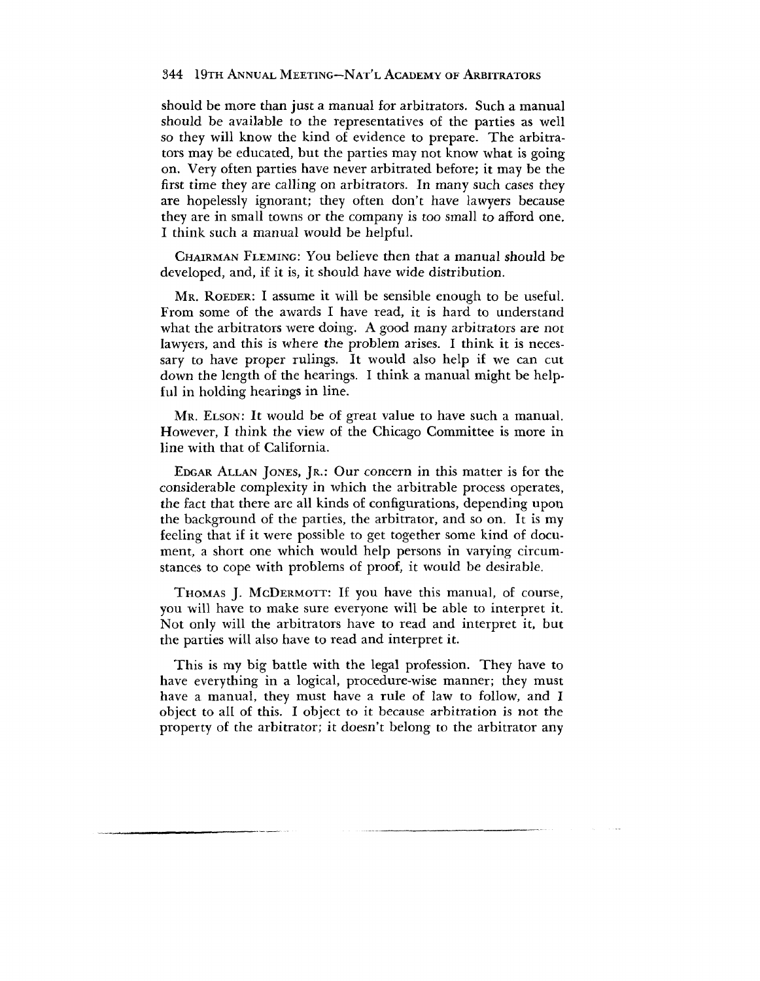should be more than just a manual for arbitrators. Such a manual should be available to the representatives of the parties as well so they will know the kind of evidence to prepare. The arbitrators may be educated, but the parties may not know what is going on. Very often parties have never arbitrated before; it may be the first time they are calling on arbitrators. In many such cases they are hopelessly ignorant; they often don't have lawyers because they are in small towns or the company is *too* small to afford one. I think such a manual would be helpful.

CHAIRMAN FLEMING: YOU believe then that a manual should be developed, and, if it is, it should have wide distribution.

MR. ROEDER: I assume it will be sensible enough to be useful. From some of the awards I have read, it is hard to understand what the arbitrators were doing. A good many arbitrators are not lawyers, and this is where the problem arises. I think it is necessary to have proper rulings. It would also help if we can cut down the length of the hearings. I think a manual might be helpful in holding hearings in line.

Mr. ELSON: It would be of great value to have such a manual. However, I think the view of the Chicago Committee is more in line with that of California.

EDGAR ALLAN JONES, JR.: Our *concern* in this matter is for the considerable complexity in which the arbitrable process operates, the fact that there are all kinds of configurations, depending upon the background of the parties, the arbitrator, and so on. It is my feeling that if it were possible to get together some kind of document, a short one which would help persons in varying circumstances to cope with problems of proof, it would be desirable.

THOMAS J. MCDERMOTT: If you have this manual, of course, you will have to make sure everyone will be able to interpret it. Not only will the arbitrators have to read and interpret it, but the parties will also have to read and interpret it.

This is my big battle with the legal profession. They have to have everything in a logical, procedure-wise manner; they must have a manual, they must have a rule of law to follow, and I object to all of this. I object to it because arbitration is not the property of the arbitrator; it doesn't belong to the arbitrator any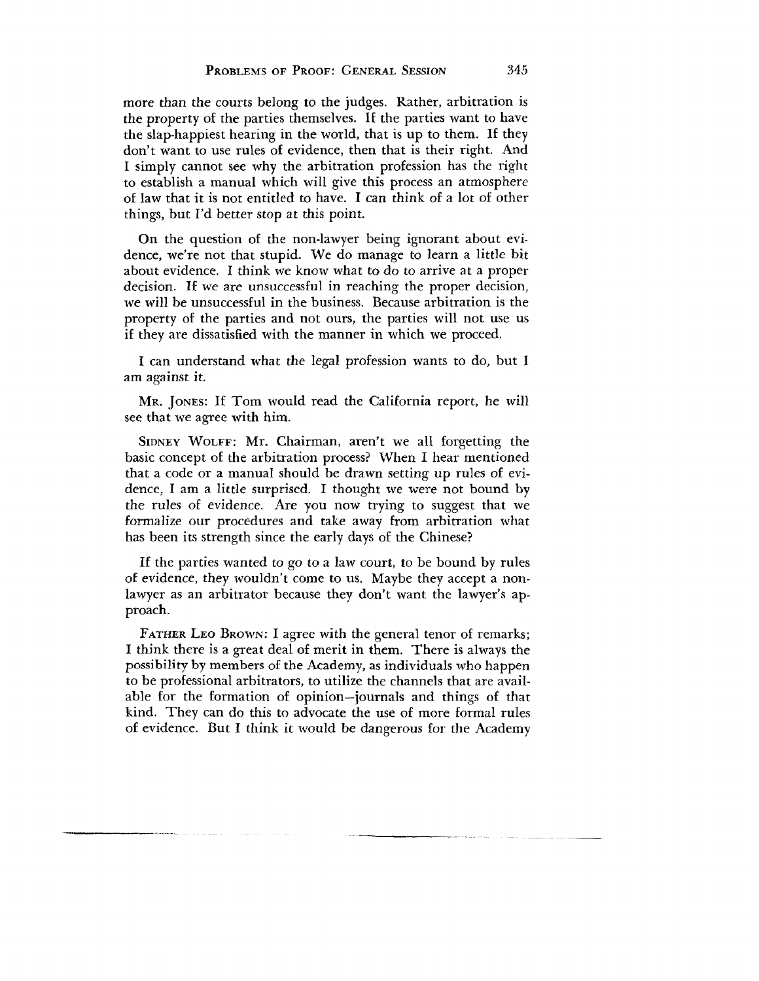more than the courts belong to the judges. Rather, arbitration is the property of the parties themselves. If the parties want to have the slap-happiest hearing in the world, that is up to them. If they don't want to use rules of evidence, then that is their right. And I simply cannot see why the arbitration profession has the right to establish a manual which will give this process an atmosphere of law that it is not entitled to have. I can think of a lot of other things, but I'd better stop at this point.

On the question of the non-lawyer being ignorant about evidence, we're not that stupid. We do manage to learn a little bit about evidence. I think we know what to do to arrive at a proper decision. If we are unsuccessful in reaching the proper decision, we will be unsuccessful in the business. Because arbitration is the property of the parties and not ours, the parties will not use us if they are dissatisfied with the manner in which we proceed.

I can understand what the legal profession wants to do, but I am against it.

MR. JONES: If Tom would read the California report, he will see that we agree with him.

SIDNEY WOLFF: Mr. Chairman, aren't we all forgetting the basic concept of the arbitration process? When I hear mentioned that a code or a manual should be drawn setting up rules of evidence, I am a little surprised. I thought we were not bound by the rules of evidence. Are you now trying to suggest that we formalize our procedures and take away from arbitration what has been its strength since the early days of the Chinese?

If the parties wanted to go to a law court, to be bound by rules of evidence, they wouldn't come to us. Maybe they accept a nonlawyer as an arbitrator because they don't want the lawyer's approach.

FATHER LEO BROWN: I agree with the general tenor of remarks; I think there is a great deal of merit in them. There is always the possibility by members of the Academy, as individuals who happen to be professional arbitrators, to utilize the channels that are available for the formation of opinion—journals and things of that kind. They can do this to advocate the use of more formal rules of evidence. But I think it would be dangerous for the Academy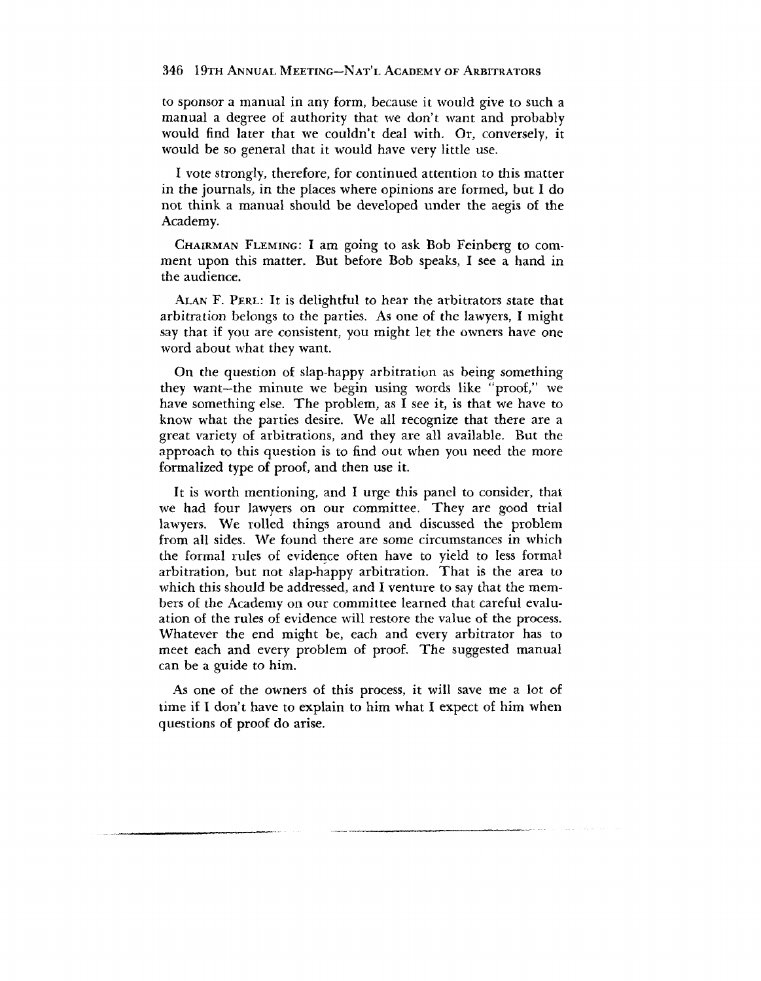to sponsor a manual in any form, because it would give to such a manual a degree of authority that we don't want and probably would find later that we couldn't deal with. Or, conversely, it would be so general that it would have very little use.

I vote strongly, therefore, for continued attention to this matter in the journals, in the places where opinions are formed, but I do not think a manual should be developed under the aegis of the Academy.

CHAIRMAN FLEMING: I am going to ask Bob Feinberg to comment upon this matter. But before Bob speaks, I see a hand in the audience.

ALAN F. PERL: It is delightful to hear the arbitrators state that arbitration belongs to the parties. As one of the lawyers, I might say that if you are consistent, you might let the owners have one word about what they want.

On the question of slap-happy arbitration as being something they want—the minute we begin using words like "proof," we have something else. The problem, as I see it, is that we have to know what the parties desire. We all recognize that there are a great variety of arbitrations, and they are all available. But the approach to this question is to find out when you need the more formalized type of proof, and then use it.

It is worth mentioning, and I urge this panel to consider, that we had four lawyers on our committee. They are good trial lawyers. We rolled things around and discussed the problem from all sides. We found there are some circumstances in which the formal rules of evidence often have to yield to less formal arbitration, but not slap-happy arbitration. That is the area to which this should be addressed, and I venture to say that the members of the Academy on our committee learned that careful evaluation of the rules of evidence will restore the value of the process. Whatever the end might be, each and every arbitrator has to meet each and every problem of proof. The suggested manual can be a guide *to* him.

As one of the owners of this process, it will save me a lot of time if I don't have to explain to him what I expect of him when questions of proof do arise.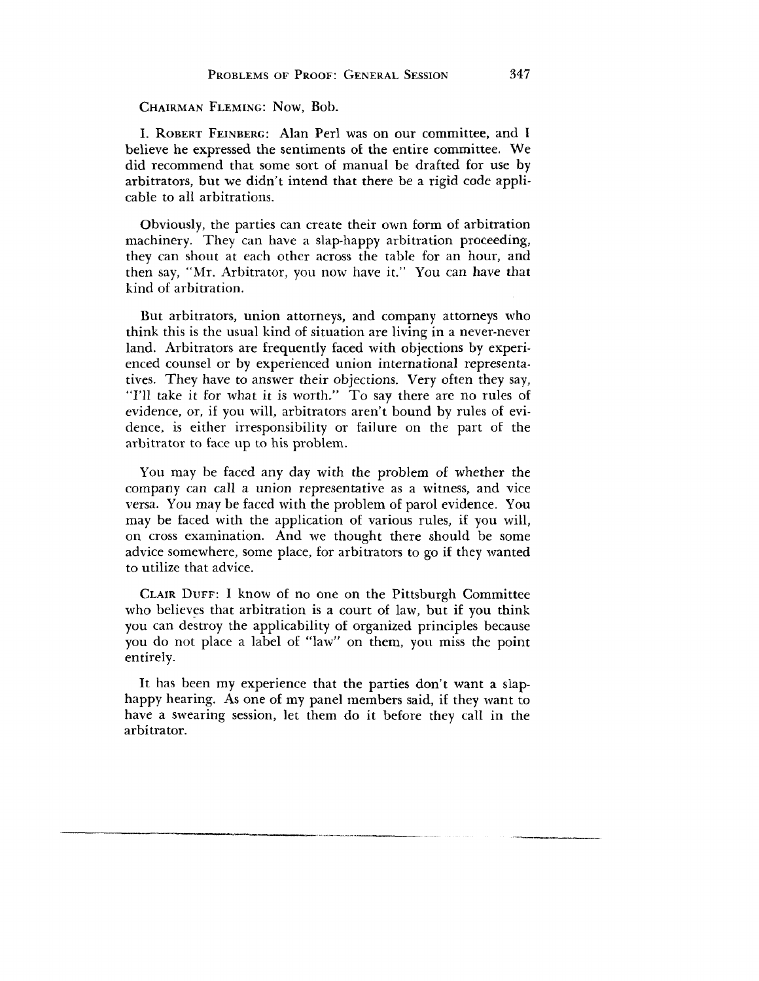#### CHAIRMAN FLEMING: NOW, Bob.

I. ROBERT FEINBERG: Alan Perl was on our committee, and I believe he expressed the sentiments of the entire committee. We did recommend that some sort of manual be drafted for use by arbitrators, but we didn't intend that there be a rigid code applicable to all arbitrations.

Obviously, the parties can create their own form of arbitration machinery. They can have a slap-happy arbitration proceeding, they can shout at each other across the table for an hour, and then say, "Mr. Arbitrator, you now have it." You can have that kind of arbitration.

But arbitrators, union attorneys, and company attorneys who think this is the usual kind of situation are living in a never-never land. Arbitrators are frequently faced with objections by experienced counsel or by experienced union international representatives. They have to answer their objections. Very often they say, "I'll take it for what it is worth." To say there are no rules of evidence, or, if you will, arbitrators aren't bound by rules of evidence, is either irresponsibility or failure on the part of the arbitrator to face up to his problem.

You may be faced any day with the problem of whether the company can call a union representative as a witness, and vice versa. You may be faced with the problem of parol evidence. You may be faced with the application of various rules, if you will, on cross examination. And we thought there should be some advice somewhere, some place, for arbitrators to go if they wanted to utilize that advice.

CLAIR DUFF: I know of no one on the Pittsburgh Committee who believes that arbitration is a court of law, but if you think you can destroy the applicability of organized principles because you do not place a label of "law" on them, you miss the point entirely.

It has been my experience that the parties don't want a slaphappy hearing. As one of my panel members said, if they want to have a swearing session, let them do it before they call in the arbitrator.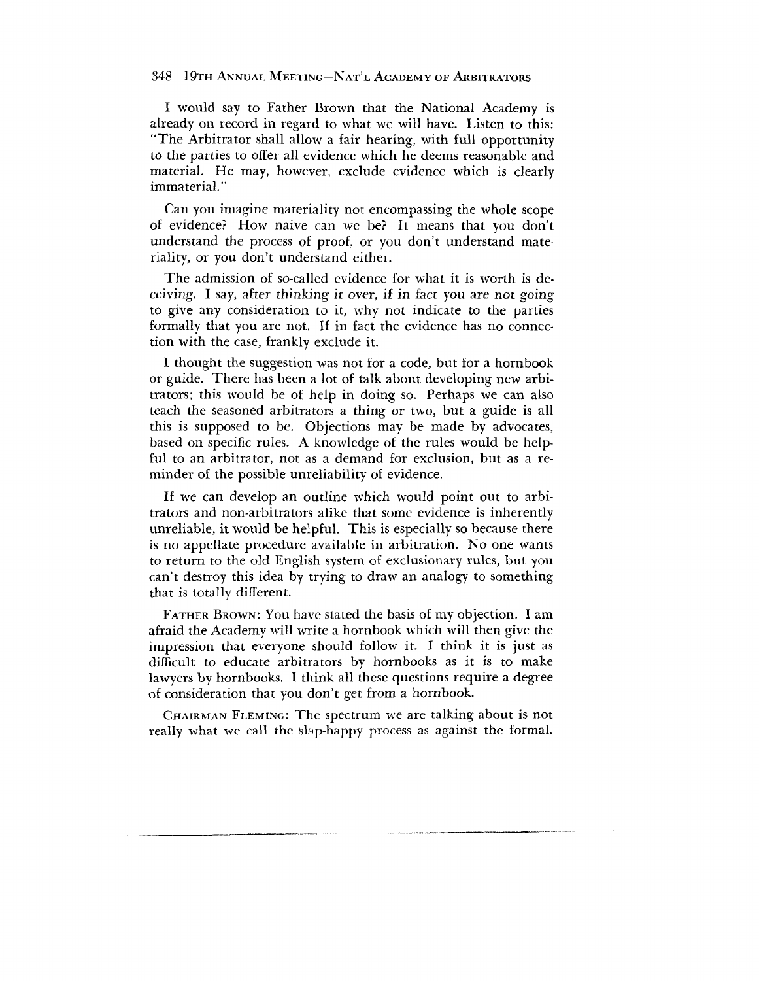I would say to Father Brown that the National Academy is already on record in regard to what we will have. Listen to this: "The Arbitrator shall allow a fair hearing, with full opportunity to the parties to offer all evidence which he deems reasonable and material. He may, however, exclude evidence which is clearly immaterial."

Can you imagine materiality not encompassing the whole scope of evidence? How naive can we be? It means that you don't understand the process of proof, or you don't understand materiality, or you don't understand either.

The admission of so-called evidence for what it is worth is deceiving. I say, after thinking it over, if in fact you are not going to give any consideration to it, why not indicate to the parties formally that you are not. If in fact the evidence has no connection with the case, frankly exclude it.

I thought the suggestion was not for a code, but for a hornbook or guide. There has been a lot of talk about developing new arbitrators; this would be of help in doing so. Perhaps we can also teach the seasoned arbitrators a thing or two, but a guide is all this is supposed to be. Objections may be made by advocates, based on specific rules. A knowledge of the rules would be helpful to an arbitrator, not as a demand for exclusion, but as a reminder of the possible unreliability of evidence.

If we can develop an outline which would point out to arbitrators and non-arbitrators alike that some evidence is inherently unreliable, it would be helpful. This is especially so because there is no appellate procedure available in arbitration. No one wants to return to the old English system of exclusionary rules, but you can't destroy this idea by trying to draw an analogy to something that is totally different.

FATHER BROWN: YOU have stated the basis of my objection. I am afraid the Academy will write a hornbook which will then give the impression that everyone should follow it. I think it is just as difficult to educate arbitrators by hornbooks as it is to make lawyers by hornbooks. I think all these questions require a degree of consideration that you don't get from a hornbook.

CHAIRMAN FLEMING: The spectrum we are talking about is not really what we call the slap-happy process as against the formal.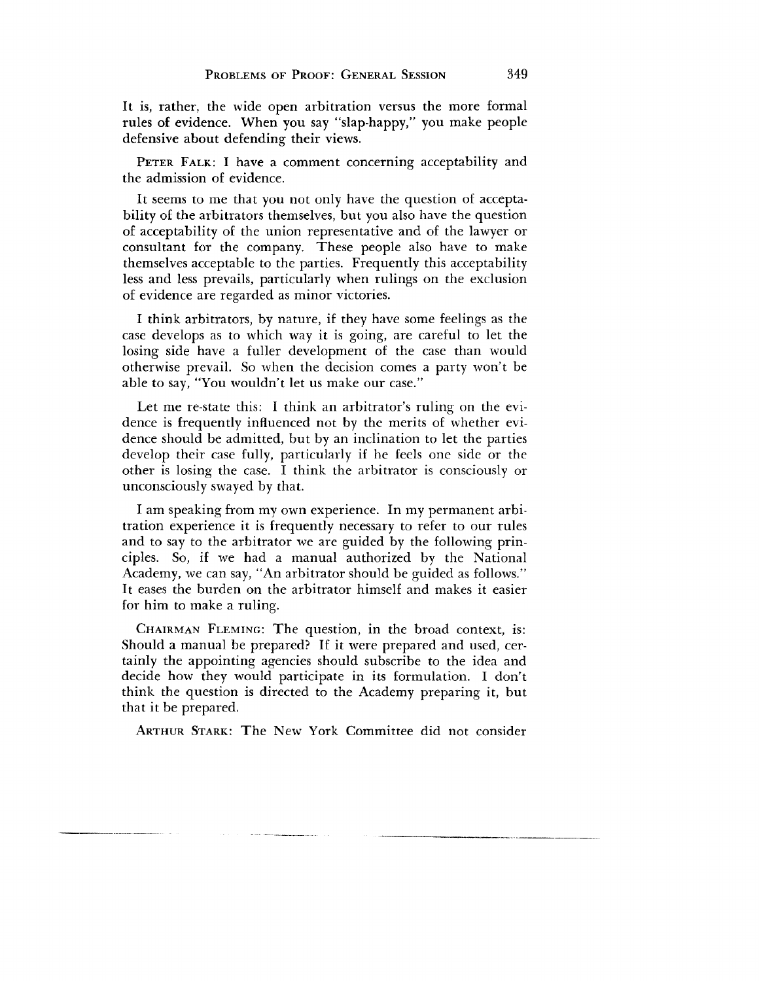It is, rather, the wide open arbitration versus the more formal rules of evidence. When you say "slap-happy," you make people defensive about defending their views.

PETER FALK: I have a comment concerning acceptability and the admission of evidence.

It seems to me that you not only have the question of acceptability of the arbitrators themselves, but you also have the question of acceptability of the union representative and of the lawyer or consultant for the company. These people also have to make themselves acceptable to the parties. Frequently this acceptability less and less prevails, particularly when rulings on the exclusion of evidence are regarded as minor victories.

I think arbitrators, by nature, if they have some feelings as the case develops as to which way it is going, are careful to let the losing side have a fuller development of the case than would otherwise prevail. So when the decision comes a party won't be able to say, "You wouldn't let us make our case."

Let me re-state this: I think an arbitrator's ruling on the evidence is frequently influenced not by the merits of whether evidence should be admitted, but by an inclination to let the parties develop their case fully, particularly if he feels one side or the other is losing the case. I think the arbitrator is consciously or unconsciously swayed by that.

I am speaking from my own experience. In my permanent arbitration experience it is frequently necessary to refer to our rules and to say to the arbitrator we are guided by the following principles. So, if we had a manual authorized by the National Academy, we can say, "An arbitrator should be guided as follows." It eases the burden on the arbitrator himself and makes it easier for him to make a ruling.

CHAIRMAN FLEMING: The question, in the broad context, is: Should a manual be prepared? If it were prepared and used, certainly the appointing agencies should subscribe to the idea and decide how they would participate in its formulation. I don't think the question is directed to the Academy preparing it, but that it be prepared.

ARTHUR STARK: The New York Committee did not consider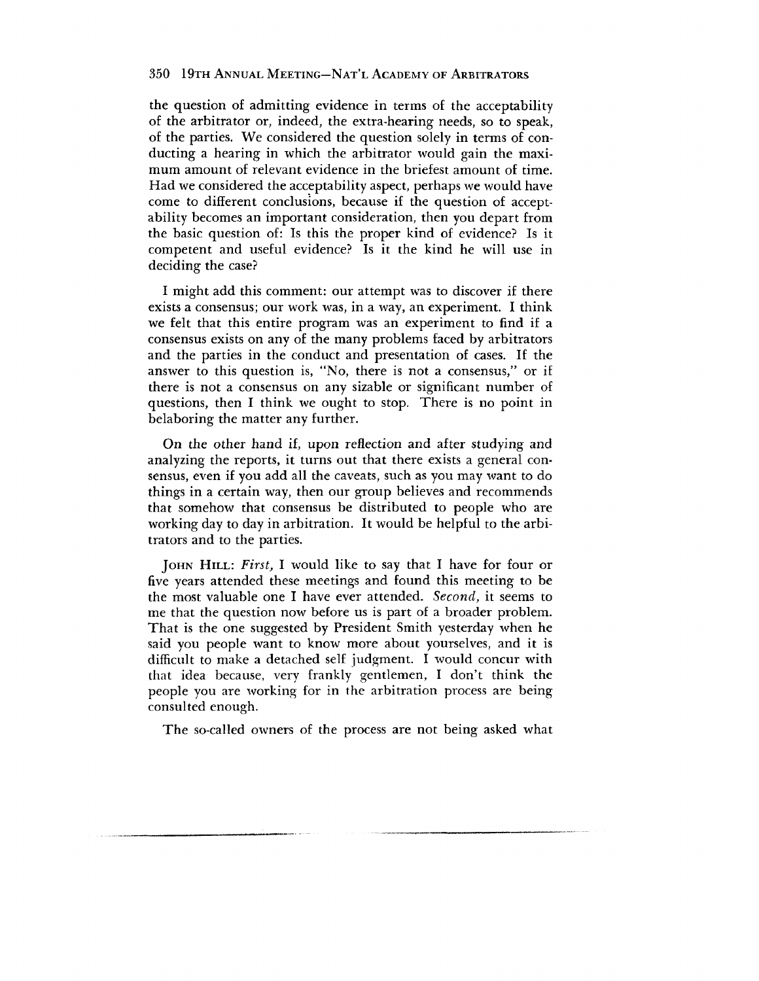the question of admitting evidence in terms of the acceptability of the arbitrator or, indeed, the extra-hearing needs, so to speak, of the parties. We considered the question solely in terms of conducting a hearing in which the arbitrator would gain the maximum amount of relevant evidence in the briefest amount of time. Had we considered the acceptability aspect, perhaps we would have come to different conclusions, because if the question of acceptability becomes an important consideration, then you depart from the basic question of: Is this the proper kind of evidence? Is it competent and useful evidence? Is it the kind he will use in deciding the case?

I might add this comment: our attempt was to discover if there exists a consensus; our work was, in a way, an experiment. I think we felt that this entire program was an experiment to find if a consensus exists on any of the many problems faced by arbitrators and the parties in the conduct and presentation of cases. If the answer to this question is, "No, there is not a consensus," or if there is not a consensus on any sizable or significant number of questions, then I think we ought to stop. There is no point in belaboring the matter any further.

On the other hand if, upon reflection and after studying and analyzing the reports, it turns out that there exists a general consensus, even if you add all the caveats, such as you may want to do things in a certain way, then our group believes and recommends that somehow that consensus be distributed to people who are working day to day in arbitration. It would be helpful to the arbitrators and to the parties.

JOHN HILL: *First,* I would like to say that I have for four or five years attended these meetings and found this meeting to be the most valuable one I have ever attended. *Second,* it seems to me that the question now before us is part of a broader problem. That is the one suggested by President Smith yesterday when he said you people want to know more about yourselves, and it is difficult to make a detached self judgment. I would concur with that idea because, very frankly gentlemen, I don't think the people you are working for in the arbitration process are being consulted enough.

The so-called owners of the process are not being asked what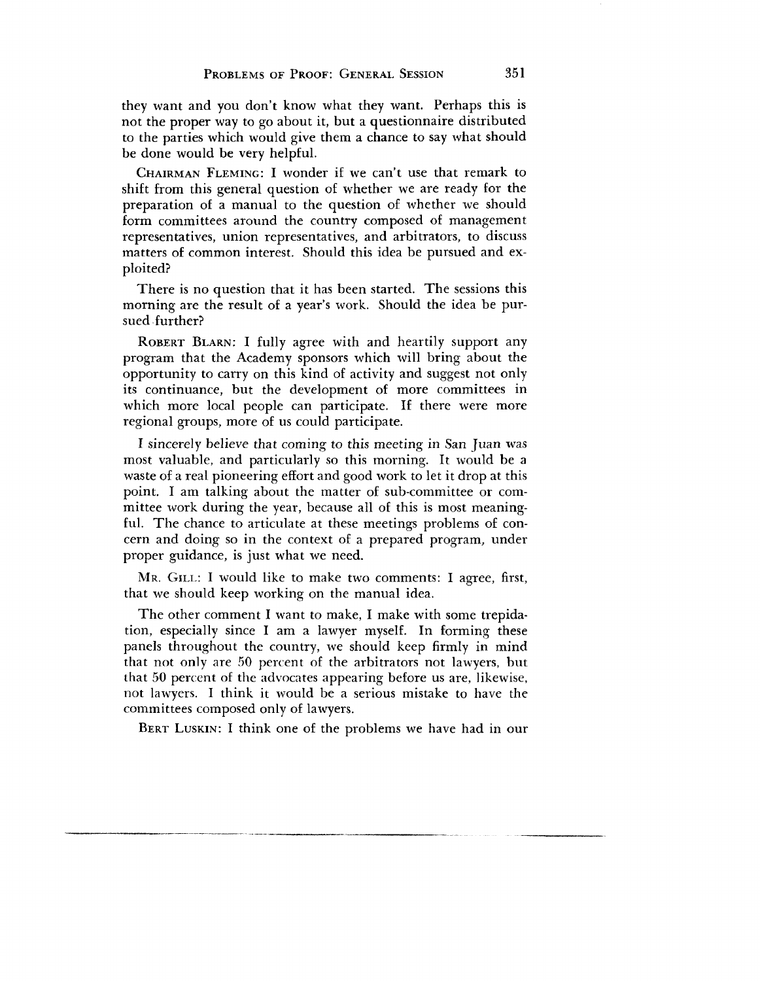they want and you don't know what they want. Perhaps this is not the proper way to go about it, but a questionnaire distributed to the parties which would give them a chance to say what should be done would be very helpful.

CHAIRMAN FLEMING: I wonder if we can't use that remark to shift from this general question of whether we are ready for the preparation of a manual to the question of whether we should form committees around the country composed of management representatives, union representatives, and arbitrators, to discuss matters of common interest. Should this idea be pursued and exploited?

There is no question that it has been started. The sessions this morning are the result of a year's work. Should the idea be pursued further?

ROBERT BLARN: I fully agree with and heartily support any program that the Academy sponsors which will bring about the opportunity to carry on this kind of activity and suggest not only its continuance, but the development of more committees in which more local people can participate. If there were more regional groups, more of us could participate.

I sincerely believe that coming to this meeting in San Juan was most valuable, and particularly so this morning. It would be a waste of a real pioneering effort and good work to let it drop at this point. I am talking about the matter of sub-committee or committee work during the year, because all of this is most meaningful. The chance to articulate at these meetings problems of concern and doing so in the context of a prepared program, under proper guidance, is just what we need.

MR. GILL: I would like to make two comments: I agree, first, that we should keep working on the manual idea.

The other comment I want to make, I make with some trepidation, especially since I am a lawyer myself. In forming these panels throughout the country, we should keep firmly in mind that not only are 50 percent of the arbitrators not lawyers, but that 50 percent of the advocates appearing before us are, likewise, not lawyers. I think it would be a serious mistake to have the committees composed only of lawyers.

BERT LUSKIN: I think one of the problems we have had in our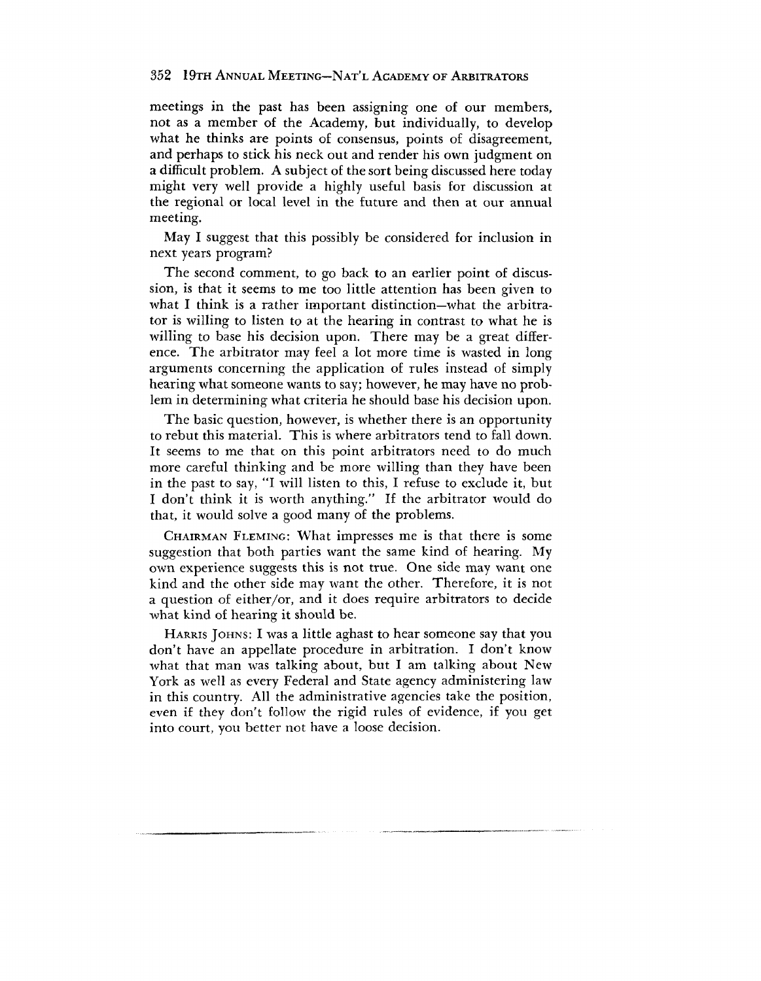meetings in the past has been assigning one of our members, not as a member of the Academy, but individually, to develop what he thinks are points of consensus, points of disagreement, and perhaps to stick his neck out and render his own judgment on a difficult problem. A subject of the sort being discussed here today might very well provide a highly useful basis for discussion at the regional or local level in the future and then at our annual meeting.

May I suggest that this possibly be considered for inclusion in next years program?

The second comment, to go back to an earlier point of discussion, is that it seems to me too little attention has been given to what I think is a rather important distinction—what the arbitrator is willing to listen to at the hearing in contrast to what he is willing to base his decision upon. There may be a great difference. The arbitrator may feel a lot more time is wasted in long arguments concerning the application of rules instead of simply hearing what someone wants to say; however, he may have no problem in determining what criteria he should base his decision upon.

The basic question, however, is whether there is an opportunity to rebut this material. This is where arbitrators tend to fall down. It seems to me that on this point arbitrators need to do much more careful thinking and be more willing than they have been in the past to say, "I will listen to this, I refuse to exclude it, but I don't think it is worth anything." If the arbitrator would do that, it would solve a good many of the problems.

CHAIRMAN FLEMING: What impresses me is that there is some suggestion that both parties want the same kind of hearing. My own experience suggests this is not true. One side may want one kind and the other side may want the other. Therefore, it is not a question of either/or, and it does require arbitrators to decide what kind of hearing it should be.

HARRIS JOHNS: I was a little aghast to hear someone say that you don't have an appellate procedure in arbitration. I don't know what that man was talking about, but I am talking about New York as well as every Federal and State agency administering law in this country. All the administrative agencies take the position, even if they don't follow the rigid rules of evidence, if you get into court, you better not have a loose decision.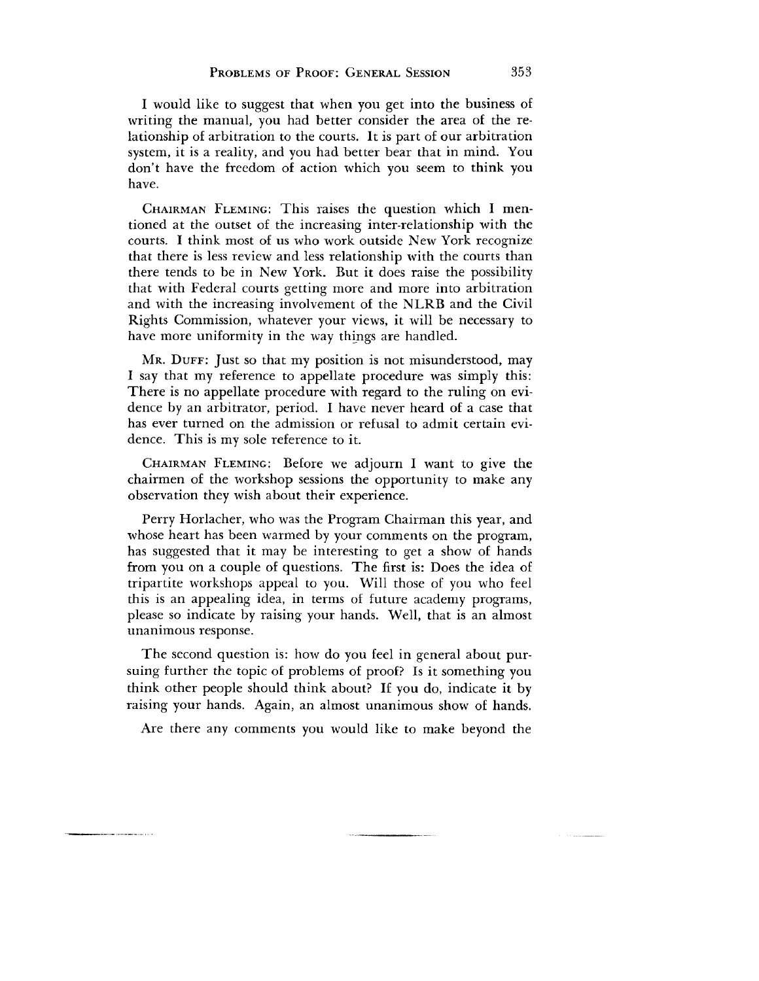I would like to suggest that when you get into the business of writing the manual, you had better consider the area of the relationship of arbitration to the courts. It is part of our arbitration system, it is a reality, and you had better bear that in mind. You don't have the freedom of action which you seem to think you have.

CHAIRMAN FLEMING: This raises the question which I mentioned at the outset of the increasing inter-relationship with the courts. I think most of us who work outside New York recognize that there is less review and less relationship with the courts than there tends to be in New York. But it does raise the possibility that with Federal courts getting more and more into arbitration and with the increasing involvement of the NLRB and the Civil Rights Commission, whatever your views, it will be necessary to have more uniformity in the way things are handled.

MR. DUFF: Just so that my position is not misunderstood, may I say that my reference to appellate procedure was simply this: There is no appellate procedure with regard to the ruling on evidence by an arbitrator, period. I have never heard of a case that has ever turned on the admission or refusal to admit certain evidence. This is my sole reference to it.

CHAIRMAN FLEMING: Before we adjourn I want to give the chairmen of the workshop sessions the opportunity to make any observation they wish about their experience.

Perry Horlacher, who was the Program Chairman this year, and whose heart has been warmed by your comments on the program, has suggested that it may be interesting to get a show of hands from you on a couple of questions. The first is: Does the idea of tripartite workshops appeal to you. Will those of you who feel this is an appealing idea, in terms of future academy programs, please so indicate by raising your hands. Well, that is an almost unanimous response.

The second question is: how do you feel in general about pursuing further the topic of problems of proof? Is it something you think other people should think about? If you do, indicate it by raising your hands. Again, an almost unanimous show of hands.

Are there any comments you would like to make beyond the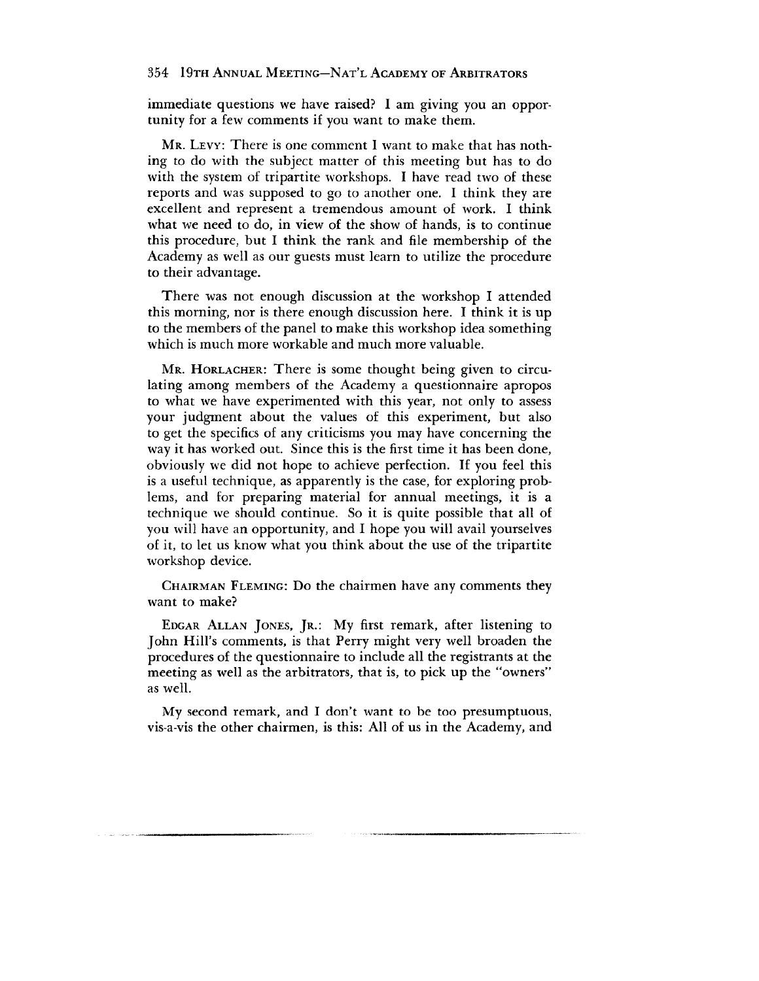immediate questions we have raised? I am giving you an opportunity for a few comments if you want to make them.

MR. LEVY: There is one comment I want to make that has nothing to do with the subject matter of this meeting but has to do with the system of tripartite workshops. I have read two of these reports and was supposed to go to another one. I think they are excellent and represent a tremendous amount of work. I think what we need to do, in view of the show of hands, is to continue this procedure, but I think the rank and file membership of the Academy as well as our guests must learn to utilize the procedure to their advantage.

There was not enough discussion at the workshop I attended this morning, nor is there enough discussion here. I think it is up to the members of the panel to make this workshop idea something which is much more workable and much more valuable.

MR. HORLACHER: There is some thought being given to circulating among members of the Academy a questionnaire apropos to what we have experimented with this year, not only to assess your judgment about the values of this experiment, but also to get the specifics of any criticisms you may have concerning the way it has worked out. Since this is the first time it has been done, obviously we did not hope to achieve perfection. If you feel this is a useful technique, as apparently is the case, for exploring problems, and for preparing material for annual meetings, it is a technique we should continue. So it is quite possible that all of you will have an opportunity, and I hope you will avail yourselves of it, to let us know what you think about the use of the tripartite workshop device.

CHAIRMAN FLEMING: DO the chairmen have any comments they want to make?

EDGAR ALLAN JONES, JR.: My first remark, after listening to John Hill's comments, is that Perry might very well broaden the procedures of the questionnaire to include all the registrants at the meeting as well as the arbitrators, that is, to pick up the "owners" as well.

My second remark, and I don't want to be too presumptuous, vis-a-vis the other chairmen, is this: All of us in the Academy, and